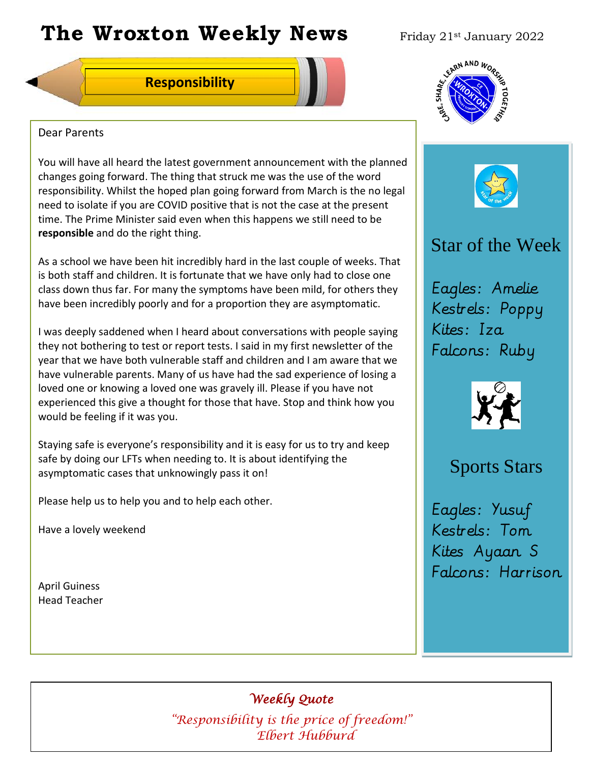# **The Wroxton Weekly News** Friday 21st January 2022

### **Responsibility**



#### Dear Parents

You will have all heard the latest government announcement with the planned changes going forward. The thing that struck me was the use of the word responsibility. Whilst the hoped plan going forward from March is the no legal need to isolate if you are COVID positive that is not the case at the present time. The Prime Minister said even when this happens we still need to be **responsible** and do the right thing.

As a school we have been hit incredibly hard in the last couple of weeks. That is both staff and children. It is fortunate that we have only had to close one class down thus far. For many the symptoms have been mild, for others they have been incredibly poorly and for a proportion they are asymptomatic.

I was deeply saddened when I heard about conversations with people saying they not bothering to test or report tests. I said in my first newsletter of the year that we have both vulnerable staff and children and I am aware that we have vulnerable parents. Many of us have had the sad experience of losing a loved one or knowing a loved one was gravely ill. Please if you have not experienced this give a thought for those that have. Stop and think how you would be feeling if it was you.

Staying safe is everyone's responsibility and it is easy for us to try and keep safe by doing our LFTs when needing to. It is about identifying the asymptomatic cases that unknowingly pass it on!

Please help us to help you and to help each other.

Have a lovely weekend

April Guiness Head Teacher





## Star of the Week

Eagles: Amelie Kestrels: Poppy Kites: Iza Falcons: Ruby



## Sports Stars

Eagles: Yusuf Kestrels: Tom Kites Ayaan S Falcons: Harrison

## *Weekly Quote*

**Oct 30 Nov 4 Dec 1** *"Responsibility is the price of freedom!"*  **Elbert Hubburd**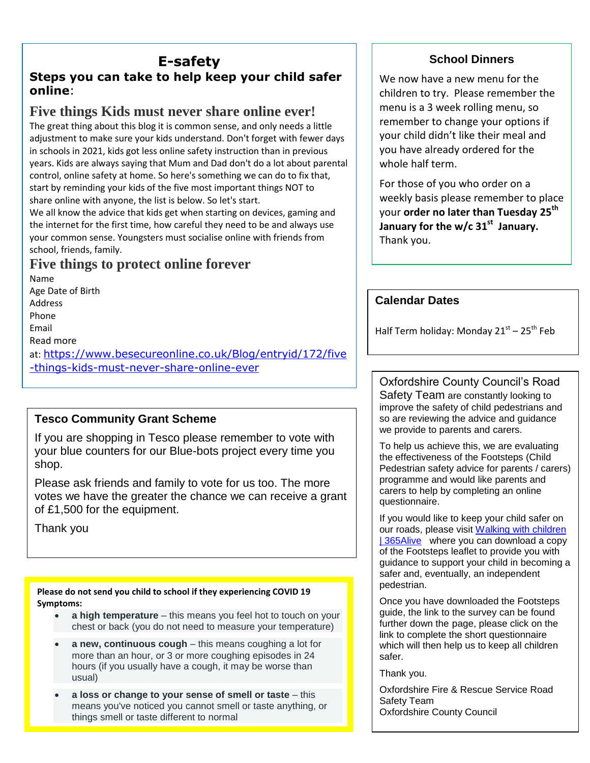## **E-safety**

#### **Steps you can take to help keep your child safer online**:

## **Five things Kids must never share online ever!**

The great thing about this blog it is common sense, and only needs a little adjustment to make sure your kids understand. Don't forget with fewer days in schools in 2021, kids got less online safety instruction than in previous years. Kids are always saying that Mum and Dad don't do a lot about parental control, online safety at home. So here's something we can do to fix that, start by reminding your kids of the five most important things NOT to share online with anyone, the list is below. So let's start.

We all know the advice that kids get when starting on devices, gaming and the internet for the first time, how careful they need to be and always use your common sense. Youngsters must socialise online with friends from school, friends, family.

## **Five things to protect online forever**

Name Age Date of Birth Address Phone Email Read more at: [https://www.besecureonline.co.uk/Blog/entryid/172/five](https://www.besecureonline.co.uk/Blog/entryid/172/five-things-kids-must-never-share-online-ever) [-things-kids-must-never-share-online-ever](https://www.besecureonline.co.uk/Blog/entryid/172/five-things-kids-must-never-share-online-ever)

#### **Tesco Community Grant Scheme**

If you are shopping in Tesco please remember to vote with your blue counters for our Blue-bots project every time you shop.

Please ask friends and family to vote for us too. The more votes we have the greater the chance we can receive a grant of £1,500 for the equipment.

Thank you

**Please do not send you child to school if they experiencing COVID 19 Symptoms:**

- **a high temperature** this means you feel hot to touch on your chest or back (you do not need to measure your temperature)
- **a new, continuous cough** this means coughing a lot for more than an hour, or 3 or more coughing episodes in 24 hours (if you usually have a cough, it may be worse than usual)
- **a loss or change to your sense of smell or taste** this means you've noticed you cannot smell or taste anything, or things smell or taste different to normal

#### **School Dinners**

We now have a new menu for the children to try. Please remember the menu is a 3 week rolling menu, so remember to change your options if your child didn't like their meal and you have already ordered for the whole half term.

For those of you who order on a weekly basis please remember to place your **order no later than Tuesday 25th January for the w/c 31st January.** Thank you.

#### **Calendar Dates**

Half Term holiday: Monday 21<sup>st</sup> – 25<sup>th</sup> Feb

Oxfordshire County Council's Road Safety Team are constantly looking to improve the safety of child pedestrians and so are reviewing the advice and guidance we provide to parents and carers.

To help us achieve this, we are evaluating the effectiveness of the Footsteps (Child Pedestrian safety advice for parents / carers) programme and would like parents and carers to help by completing an online questionnaire.

If you would like to keep your child safer on our roads, please visit [Walking with children](http://www.365alive.co.uk/cms/content/walking-children)  [| 365Alive](http://www.365alive.co.uk/cms/content/walking-children) where you can download a copy of the Footsteps leaflet to provide you with guidance to support your child in becoming a safer and, eventually, an independent pedestrian.

Once you have downloaded the Footsteps guide, the link to the survey can be found further down the page, please click on the link to complete the short questionnaire which will then help us to keep all children safer.

Thank you.

Oxfordshire Fire & Rescue Service Road Safety Team Oxfordshire County Council